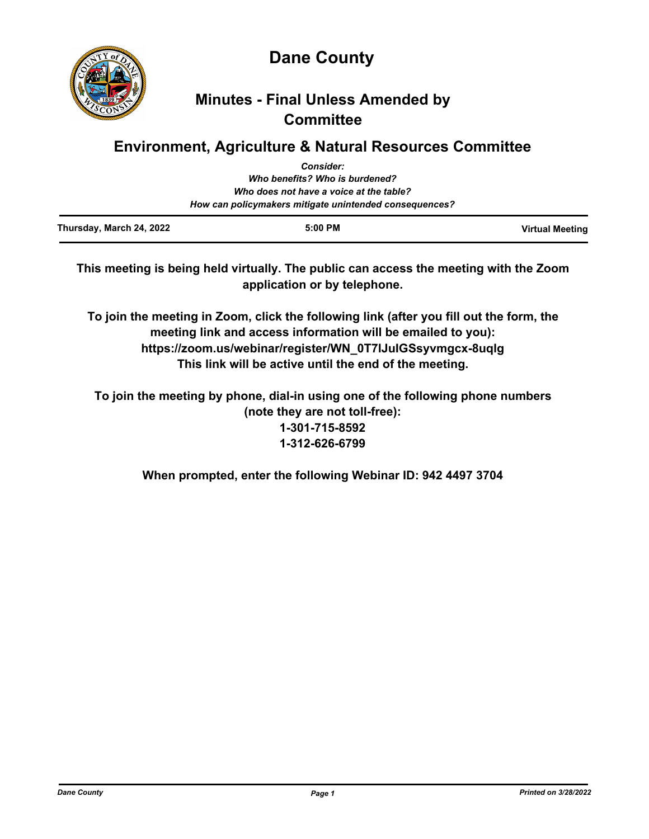

**Dane County**

# **Minutes - Final Unless Amended by Committee**

# **Environment, Agriculture & Natural Resources Committee**

| Thursday, March 24, 2022 | $5:00$ PM                                              | <b>Virtual Meeting</b> |
|--------------------------|--------------------------------------------------------|------------------------|
|                          | How can policymakers mitigate unintended consequences? |                        |
|                          | Who does not have a voice at the table?                |                        |
|                          | Who benefits? Who is burdened?                         |                        |
|                          | <b>Consider:</b>                                       |                        |

**This meeting is being held virtually. The public can access the meeting with the Zoom application or by telephone.**

**To join the meeting in Zoom, click the following link (after you fill out the form, the meeting link and access information will be emailed to you): https://zoom.us/webinar/register/WN\_0T7lJuIGSsyvmgcx-8uqlg This link will be active until the end of the meeting.**

**To join the meeting by phone, dial-in using one of the following phone numbers (note they are not toll-free): 1-301-715-8592 1-312-626-6799**

**When prompted, enter the following Webinar ID: 942 4497 3704**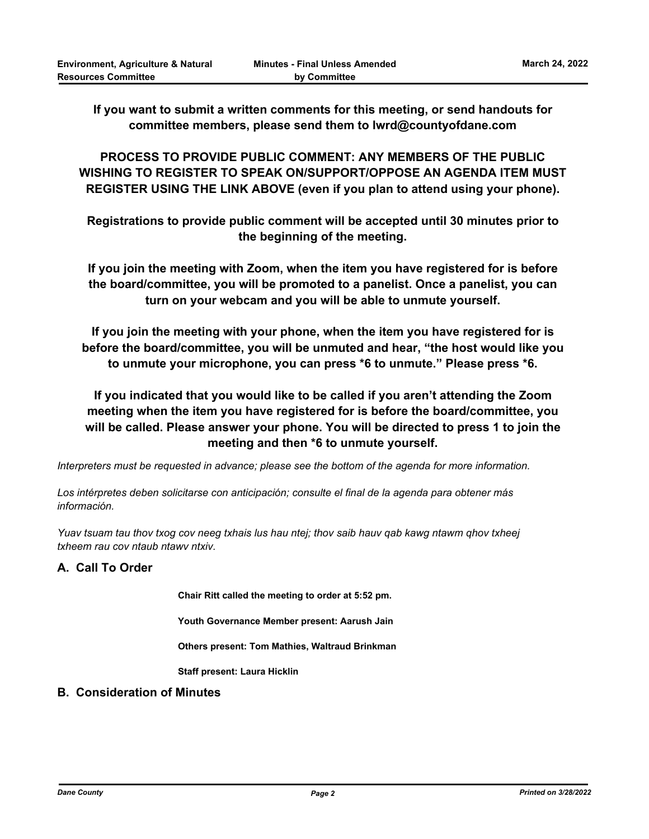**If you want to submit a written comments for this meeting, or send handouts for committee members, please send them to lwrd@countyofdane.com**

**PROCESS TO PROVIDE PUBLIC COMMENT: ANY MEMBERS OF THE PUBLIC WISHING TO REGISTER TO SPEAK ON/SUPPORT/OPPOSE AN AGENDA ITEM MUST REGISTER USING THE LINK ABOVE (even if you plan to attend using your phone).**

**Registrations to provide public comment will be accepted until 30 minutes prior to the beginning of the meeting.**

**If you join the meeting with Zoom, when the item you have registered for is before the board/committee, you will be promoted to a panelist. Once a panelist, you can turn on your webcam and you will be able to unmute yourself.**

**If you join the meeting with your phone, when the item you have registered for is before the board/committee, you will be unmuted and hear, "the host would like you to unmute your microphone, you can press \*6 to unmute." Please press \*6.**

**If you indicated that you would like to be called if you aren't attending the Zoom meeting when the item you have registered for is before the board/committee, you will be called. Please answer your phone. You will be directed to press 1 to join the meeting and then \*6 to unmute yourself.**

*Interpreters must be requested in advance; please see the bottom of the agenda for more information.*

*Los intérpretes deben solicitarse con anticipación; consulte el final de la agenda para obtener más información.*

*Yuav tsuam tau thov txog cov neeg txhais lus hau ntej; thov saib hauv qab kawg ntawm qhov txheej txheem rau cov ntaub ntawv ntxiv.*

## **A. Call To Order**

**Chair Ritt called the meeting to order at 5:52 pm.**

**Youth Governance Member present: Aarush Jain** 

**Others present: Tom Mathies, Waltraud Brinkman**

**Staff present: Laura Hicklin**

### **B. Consideration of Minutes**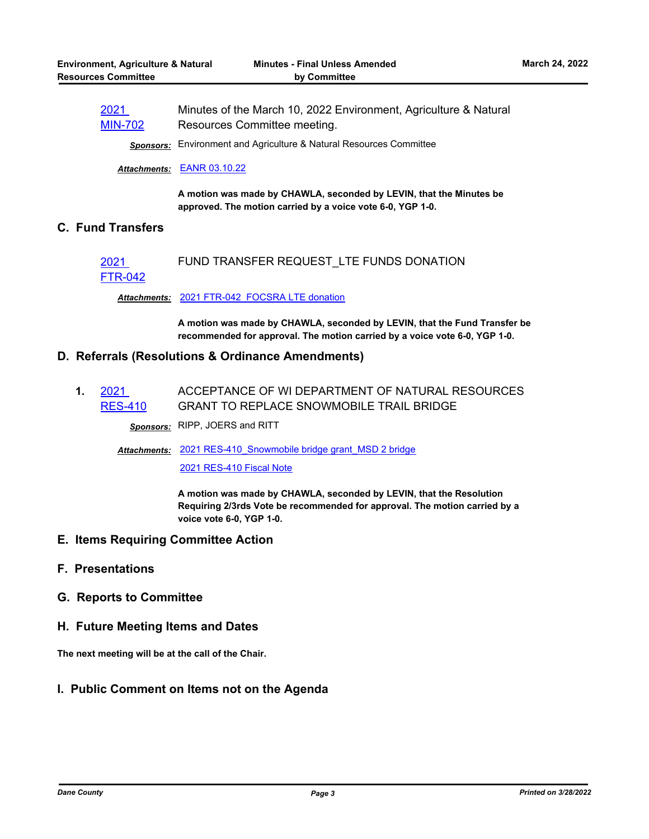| 2021           | Minutes of the March 10, 2022 Environment, Agriculture & Natural |
|----------------|------------------------------------------------------------------|
| <b>MIN-702</b> | Resources Committee meeting.                                     |

*Sponsors:* Environment and Agriculture & Natural Resources Committee

### *Attachments:* [EANR 03.10.22](http://dane.legistar.com/gateway.aspx?M=F&ID=8936abf1-1411-48b3-a50f-8b4e787f26ae.pdf)

**A motion was made by CHAWLA, seconded by LEVIN, that the Minutes be approved. The motion carried by a voice vote 6-0, YGP 1-0.**

### **C. Fund Transfers**

#### 2021 FUND TRANSFER REQUEST\_LTE FUNDS DONATION

### [FTR-042](http://dane.legistar.com/gateway.aspx?m=l&id=/matter.aspx?key=22445)

*Attachments:* [2021 FTR-042\\_FOCSRA LTE donation](http://dane.legistar.com/gateway.aspx?M=F&ID=da6faf9c-de97-4755-8c21-d1a70f512a08.pdf)

**A motion was made by CHAWLA, seconded by LEVIN, that the Fund Transfer be recommended for approval. The motion carried by a voice vote 6-0, YGP 1-0.**

### **D. Referrals (Resolutions & Ordinance Amendments)**

**1.** 2021 [RES-410](http://dane.legistar.com/gateway.aspx?m=l&id=/matter.aspx?key=22506) ACCEPTANCE OF WI DEPARTMENT OF NATURAL RESOURCES GRANT TO REPLACE SNOWMOBILE TRAIL BRIDGE

*Sponsors:* RIPP, JOERS and RITT

Attachments: 2021 RES-410 Snowmobile bridge grant MSD 2 bridge

[2021 RES-410 Fiscal Note](http://dane.legistar.com/gateway.aspx?M=F&ID=79a17821-7520-4277-829c-8d847cb574fe.pdf)

**A motion was made by CHAWLA, seconded by LEVIN, that the Resolution Requiring 2/3rds Vote be recommended for approval. The motion carried by a voice vote 6-0, YGP 1-0.**

- **E. Items Requiring Committee Action**
- **F. Presentations**
- **G. Reports to Committee**
- **H. Future Meeting Items and Dates**

**The next meeting will be at the call of the Chair.**

### **I. Public Comment on Items not on the Agenda**